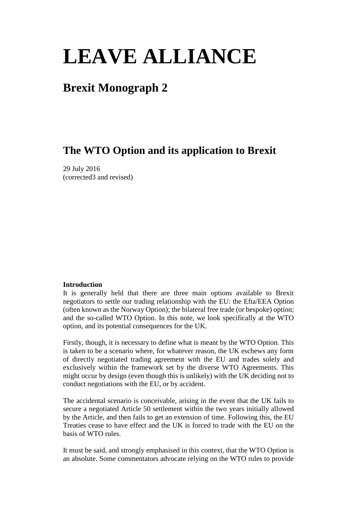# **LEAVE ALLIANCE**

## **Brexit Monograph 2**

### **The WTO Option and its application to Brexit**

29 July 2016 (corrected3 and revised)

#### **Introduction**

It is generally held that there are three main options available to Brexit negotiators to settle our trading relationship with the EU: the Efta/EEA Option (often known as the Norway Option); the bilateral free trade (or bespoke) option; and the so-called WTO Option. In this note, we look specifically at the WTO option, and its potential consequences for the UK.

Firstly, though, it is necessary to define what is meant by the WTO Option. This is taken to be a scenario where, for whatever reason, the UK eschews any form of directly negotiated trading agreement with the EU and trades solely and exclusively within the framework set by the diverse WTO Agreements. This might occur by design (even though this is unlikely) with the UK deciding not to conduct negotiations with the EU, or by accident.

The accidental scenario is conceivable, arising in the event that the UK fails to secure a negotiated Article 50 settlement within the two years initially allowed by the Article, and then fails to get an extension of time. Following this, the EU Treaties cease to have effect and the UK is forced to trade with the EU on the basis of WTO rules.

It must be said, and strongly emphasised in this context, that the WTO Option is an absolute. Some commentators advocate relying on the WTO rules to provide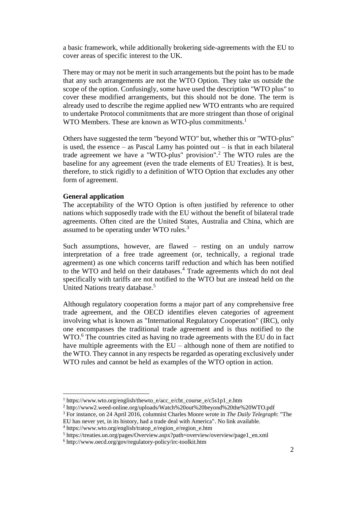a basic framework, while additionally brokering side-agreements with the EU to cover areas of specific interest to the UK.

There may or may not be merit in such arrangements but the point has to be made that any such arrangements are not the WTO Option. They take us outside the scope of the option. Confusingly, some have used the description "WTO plus" to cover these modified arrangements, but this should not be done. The term is already used to describe the regime applied new WTO entrants who are required to undertake Protocol commitments that are more stringent than those of original WTO Members. These are known as WTO-plus commitments.<sup>1</sup>

Others have suggested the term "beyond WTO" but, whether this or "WTO-plus" is used, the essence – as Pascal Lamy has pointed out – is that in each bilateral trade agreement we have a "WTO-plus" provision".<sup>2</sup> The WTO rules are the baseline for any agreement (even the trade elements of EU Treaties). It is best, therefore, to stick rigidly to a definition of WTO Option that excludes any other form of agreement.

#### **General application**

 $\overline{a}$ 

The acceptability of the WTO Option is often justified by reference to other nations which supposedly trade with the EU without the benefit of bilateral trade agreements. Often cited are the United States, Australia and China, which are assumed to be operating under WTO rules.<sup>3</sup>

Such assumptions, however, are flawed – resting on an unduly narrow interpretation of a free trade agreement (or, technically, a regional trade agreement) as one which concerns tariff reduction and which has been notified to the WTO and held on their databases. <sup>4</sup> Trade agreements which do not deal specifically with tariffs are not notified to the WTO but are instead held on the United Nations treaty database.<sup>5</sup>

Although regulatory cooperation forms a major part of any comprehensive free trade agreement, and the OECD identifies eleven categories of agreement involving what is known as "International Regulatory Cooperation" (IRC), only one encompasses the traditional trade agreement and is thus notified to the WTO. <sup>6</sup> The countries cited as having no trade agreements with the EU do in fact have multiple agreements with the EU – although none of them are notified to the WTO. They cannot in any respects be regarded as operating exclusively under WTO rules and cannot be held as examples of the WTO option in action.

<sup>&</sup>lt;sup>1</sup> https://www.wto.org/english/thewto\_e/acc\_e/cbt\_course\_e/c5s1p1\_e.htm

<sup>2</sup> http://www2.weed-online.org/uploads/Watch%20out%20beyond%20the%20WTO.pdf

<sup>3</sup> For instance, on 24 April 2016, columnist Charles Moore wrote in *The Daily Telegraph*: "The

EU has never yet, in its history, had a trade deal with America". No link available.

<sup>4</sup> https://www.wto.org/english/tratop\_e/region\_e/region\_e.htm

<sup>5</sup> https://treaties.un.org/pages/Overview.aspx?path=overview/overview/page1\_en.xml

<sup>6</sup> http://www.oecd.org/gov/regulatory-policy/irc-toolkit.htm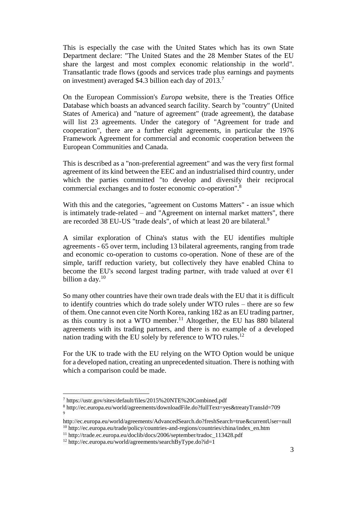This is especially the case with the United States which has its own State Department declare: "The United States and the 28 Member States of the EU share the largest and most complex economic relationship in the world". Transatlantic trade flows (goods and services trade plus earnings and payments on investment) averaged \$4.3 billion each day of 2013.<sup>7</sup>

On the European Commission's *Europa* website, there is the Treaties Office Database which boasts an advanced search facility. Search by "country" (United States of America) and "nature of agreement" (trade agreement), the database will list 23 agreements. Under the category of "Agreement for trade and cooperation", there are a further eight agreements, in particular the 1976 Framework Agreement for commercial and economic cooperation between the European Communities and Canada.

This is described as a "non-preferential agreement" and was the very first formal agreement of its kind between the EEC and an industrialised third country, under which the parties committed "to develop and diversify their reciprocal commercial exchanges and to foster economic co-operation".<sup>8</sup>

With this and the categories, "agreement on Customs Matters" - an issue which is intimately trade-related – and "Agreement on internal market matters", there are recorded 38 EU-US "trade deals", of which at least 20 are bilateral.<sup>9</sup>

A similar exploration of China's status with the EU identifies multiple agreements - 65 over term, including 13 bilateral agreements, ranging from trade and economic co-operation to customs co-operation. None of these are of the simple, tariff reduction variety, but collectively they have enabled China to become the EU's second largest trading partner, with trade valued at over  $\epsilon$ 1 billion a day.<sup>10</sup>

So many other countries have their own trade deals with the EU that it is difficult to identify countries which do trade solely under WTO rules – there are so few of them. One cannot even cite North Korea, ranking 182 as an EU trading partner, as this country is not a WTO member.<sup>11</sup> Altogether, the EU has 880 bilateral agreements with its trading partners, and there is no example of a developed nation trading with the EU solely by reference to WTO rules. $^{12}$ 

For the UK to trade with the EU relying on the WTO Option would be unique for a developed nation, creating an unprecedented situation. There is nothing with which a comparison could be made.

<sup>7</sup> https://ustr.gov/sites/default/files/2015%20NTE%20Combined.pdf

<sup>8</sup> http://ec.europa.eu/world/agreements/downloadFile.do?fullText=yes&treatyTransId=709 9

http://ec.europa.eu/world/agreements/AdvancedSearch.do?freshSearch=true&currentUser=null <sup>10</sup> http://ec.europa.eu/trade/policy/countries-and-regions/countries/china/index\_en.htm

<sup>11</sup> http://trade.ec.europa.eu/doclib/docs/2006/september/tradoc\_113428.pdf

<sup>12</sup> http://ec.europa.eu/world/agreements/searchByType.do?id=1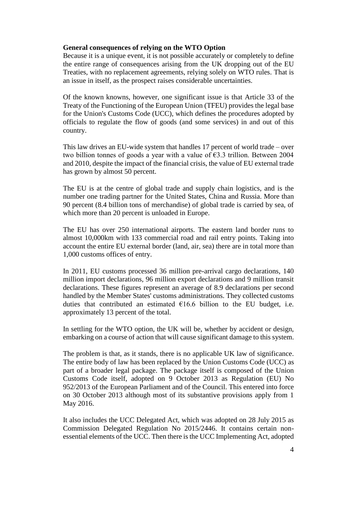#### **General consequences of relying on the WTO Option**

Because it is a unique event, it is not possible accurately or completely to define the entire range of consequences arising from the UK dropping out of the EU Treaties, with no replacement agreements, relying solely on WTO rules. That is an issue in itself, as the prospect raises considerable uncertainties.

Of the known knowns, however, one significant issue is that Article 33 of the Treaty of the Functioning of the European Union (TFEU) provides the legal base for the Union's Customs Code (UCC), which defines the procedures adopted by officials to regulate the flow of goods (and some services) in and out of this country.

This law drives an EU-wide system that handles 17 percent of world trade – over two billion tonnes of goods a year with a value of €3.3 trillion. Between 2004 and 2010, despite the impact of the financial crisis, the value of EU external trade has grown by almost 50 percent.

The EU is at the centre of global trade and supply chain logistics, and is the number one trading partner for the United States, China and Russia. More than 90 percent (8.4 billion tons of merchandise) of global trade is carried by sea, of which more than 20 percent is unloaded in Europe.

The EU has over 250 international airports. The eastern land border runs to almost 10,000km with 133 commercial road and rail entry points. Taking into account the entire EU external border (land, air, sea) there are in total more than 1,000 customs offices of entry.

In 2011, EU customs processed 36 million pre-arrival cargo declarations, 140 million import declarations, 96 million export declarations and 9 million transit declarations. These figures represent an average of 8.9 declarations per second handled by the Member States' customs administrations. They collected customs duties that contributed an estimated  $£16.6$  billion to the EU budget, i.e. approximately 13 percent of the total.

In settling for the WTO option, the UK will be, whether by accident or design, embarking on a course of action that will cause significant damage to this system.

The problem is that, as it stands, there is no applicable UK law of significance. The entire body of law has been replaced by the Union Customs Code (UCC) as part of a broader legal package. The package itself is composed of the Union Customs Code itself, adopted on 9 October 2013 as Regulation (EU) No 952/2013 of the European Parliament and of the Council. This entered into force on 30 October 2013 although most of its substantive provisions apply from 1 May 2016.

It also includes the UCC Delegated Act, which was adopted on 28 July 2015 as Commission Delegated Regulation No 2015/2446. It contains certain nonessential elements of the UCC. Then there is the UCC Implementing Act, adopted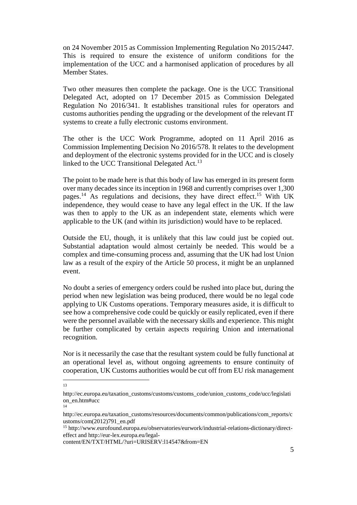on 24 November 2015 as Commission Implementing Regulation No 2015/2447. This is required to ensure the existence of uniform conditions for the implementation of the UCC and a harmonised application of procedures by all Member States.

Two other measures then complete the package. One is the UCC Transitional Delegated Act, adopted on 17 December 2015 as Commission Delegated Regulation No 2016/341. It establishes transitional rules for operators and customs authorities pending the upgrading or the development of the relevant IT systems to create a fully electronic customs environment.

The other is the UCC Work Programme, adopted on 11 April 2016 as Commission Implementing Decision No 2016/578. It relates to the development and deployment of the electronic systems provided for in the UCC and is closely linked to the UCC Transitional Delegated Act.<sup>13</sup>

The point to be made here is that this body of law has emerged in its present form over many decades since its inception in 1968 and currently comprises over 1,300 pages.<sup>14</sup> As regulations and decisions, they have direct effect.<sup>15</sup> With UK independence, they would cease to have any legal effect in the UK. If the law was then to apply to the UK as an independent state, elements which were applicable to the UK (and within its jurisdiction) would have to be replaced.

Outside the EU, though, it is unlikely that this law could just be copied out. Substantial adaptation would almost certainly be needed. This would be a complex and time-consuming process and, assuming that the UK had lost Union law as a result of the expiry of the Article 50 process, it might be an unplanned event.

No doubt a series of emergency orders could be rushed into place but, during the period when new legislation was being produced, there would be no legal code applying to UK Customs operations. Temporary measures aside, it is difficult to see how a comprehensive code could be quickly or easily replicated, even if there were the personnel available with the necessary skills and experience. This might be further complicated by certain aspects requiring Union and international recognition.

Nor is it necessarily the case that the resultant system could be fully functional at an operational level as, without ongoing agreements to ensure continuity of cooperation, UK Customs authorities would be cut off from EU risk management

13

14

http://ec.europa.eu/taxation\_customs/customs/customs\_code/union\_customs\_code/ucc/legislati on\_en.htm#ucc

http://ec.europa.eu/taxation\_customs/resources/documents/common/publications/com\_reports/c ustoms/com(2012)791\_en.pdf

<sup>15</sup> http://www.eurofound.europa.eu/observatories/eurwork/industrial-relations-dictionary/directeffect and http://eur-lex.europa.eu/legal-

content/EN/TXT/HTML/?uri=URISERV:l14547&from=EN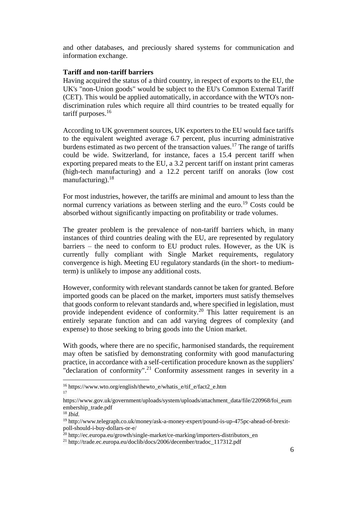and other databases, and preciously shared systems for communication and information exchange.

#### **Tariff and non-tariff barriers**

Having acquired the status of a third country, in respect of exports to the EU, the UK's "non-Union goods" would be subject to the EU's Common External Tariff (CET). This would be applied automatically, in accordance with the WTO's nondiscrimination rules which require all third countries to be treated equally for tariff purposes.<sup>16</sup>

According to UK government sources, UK exporters to the EU would face tariffs to the equivalent weighted average 6.7 percent, plus incurring administrative burdens estimated as two percent of the transaction values.<sup>17</sup> The range of tariffs could be wide. Switzerland, for instance, faces a 15.4 percent tariff when exporting prepared meats to the EU, a 3.2 percent tariff on instant print cameras (high-tech manufacturing) and a 12.2 percent tariff on anoraks (low cost manufacturing). $18$ 

For most industries, however, the tariffs are minimal and amount to less than the normal currency variations as between sterling and the euro.<sup>19</sup> Costs could be absorbed without significantly impacting on profitability or trade volumes.

The greater problem is the prevalence of non-tariff barriers which, in many instances of third countries dealing with the EU, are represented by regulatory barriers – the need to conform to EU product rules. However, as the UK is currently fully compliant with Single Market requirements, regulatory convergence is high. Meeting EU regulatory standards (in the short- to mediumterm) is unlikely to impose any additional costs.

However, conformity with relevant standards cannot be taken for granted. Before imported goods can be placed on the market, importers must satisfy themselves that goods conform to relevant standards and, where specified in legislation, must provide independent evidence of conformity.<sup>20</sup> This latter requirement is an entirely separate function and can add varying degrees of complexity (and expense) to those seeking to bring goods into the Union market.

With goods, where there are no specific, harmonised standards, the requirement may often be satisfied by demonstrating conformity with good manufacturing practice, in accordance with a self-certification procedure known as the suppliers' "declaration of conformity".<sup>21</sup> Conformity assessment ranges in severity in a

<sup>16</sup> https://www.wto.org/english/thewto\_e/whatis\_e/tif\_e/fact2\_e.htm 17

https://www.gov.uk/government/uploads/system/uploads/attachment\_data/file/220968/foi\_eum embership\_trade.pdf

<sup>18</sup> *Ibid.*

<sup>19</sup> http://www.telegraph.co.uk/money/ask-a-money-expert/pound-is-up-475pc-ahead-of-brexitpoll-should-i-buy-dollars-or-e/

<sup>&</sup>lt;sup>20</sup> http://ec.europa.eu/growth/single-market/ce-marking/importers-distributors\_en

<sup>21</sup> http://trade.ec.europa.eu/doclib/docs/2006/december/tradoc\_117312.pdf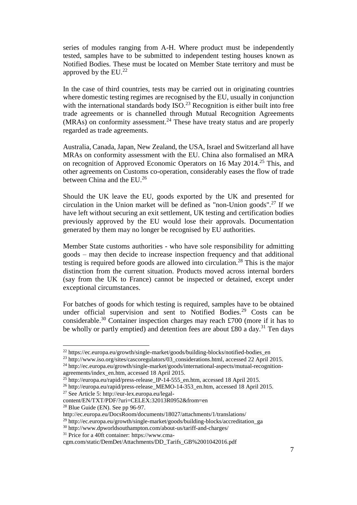series of modules ranging from A-H. Where product must be independently tested, samples have to be submitted to independent testing houses known as Notified Bodies. These must be located on Member State territory and must be approved by the  $EU^{22}$ 

In the case of third countries, tests may be carried out in originating countries where domestic testing regimes are recognised by the EU, usually in conjunction with the international standards body  $ISO^{23}$  Recognition is either built into free trade agreements or is channelled through Mutual Recognition Agreements  $(MRAs)$  on conformity assessment.<sup>24</sup> These have treaty status and are properly regarded as trade agreements.

Australia, Canada, Japan, New Zealand, the USA, Israel and Switzerland all have MRAs on conformity assessment with the EU. China also formalised an MRA on recognition of Approved Economic Operators on 16 May 2014.<sup>25</sup> This, and other agreements on Customs co-operation, considerably eases the flow of trade between China and the EU.<sup>26</sup>

Should the UK leave the EU, goods exported by the UK and presented for circulation in the Union market will be defined as "non-Union goods". <sup>27</sup> If we have left without securing an exit settlement, UK testing and certification bodies previously approved by the EU would lose their approvals. Documentation generated by them may no longer be recognised by EU authorities.

Member State customs authorities - who have sole responsibility for admitting goods – may then decide to increase inspection frequency and that additional testing is required before goods are allowed into circulation.<sup>28</sup> This is the major distinction from the current situation. Products moved across internal borders (say from the UK to France) cannot be inspected or detained, except under exceptional circumstances.

For batches of goods for which testing is required, samples have to be obtained under official supervision and sent to Notified Bodies.<sup>29</sup> Costs can be considerable.<sup>30</sup> Container inspection charges may reach £700 (more if it has to be wholly or partly emptied) and detention fees are about £80 a day.<sup>31</sup> Ten days

 $28$  Blue Guide (EN). See pp 96-97.

<sup>&</sup>lt;sup>22</sup> https://ec.europa.eu/growth/single-market/goods/building-blocks/notified-bodies en

<sup>23</sup> http://www.iso.org/sites/cascoregulators/03\_considerations.html, accessed 22 April 2015. <sup>24</sup> http://ec.europa.eu/growth/single-market/goods/international-aspects/mutual-recognitionagreements/index\_en.htm, accessed 18 April 2015.

 $^{25}$  http://europa.eu/rapid/press-release\_IP-14-555\_en.htm, accessed 18 April 2015.

<sup>&</sup>lt;sup>26</sup> http://europa.eu/rapid/press-release\_MEMO-14-353\_en.htm, accessed 18 April 2015.

<sup>27</sup> See Article 5: http://eur-lex.europa.eu/legal-

content/EN/TXT/PDF/?uri=CELEX:32013R0952&from=en

http://ec.europa.eu/DocsRoom/documents/18027/attachments/1/translations/

 $^{29}$  http://ec.europa.eu/growth/single-market/goods/building-blocks/accreditation\_ga

<sup>30</sup> http://www.dpworldsouthampton.com/about-us/tariff-and-charges/

<sup>31</sup> Price for a 40ft container: https://www.cma-

cgm.com/static/DemDet/Attachments/DD\_Tarifs\_GB%2001042016.pdf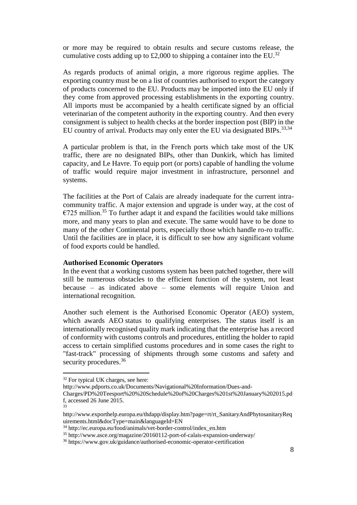or more may be required to obtain results and secure customs release, the cumulative costs adding up to £2,000 to shipping a container into the EU.<sup>32</sup>

As regards products of animal origin, a more rigorous regime applies. The exporting country must be on a list of countries authorised to export the category of products concerned to the EU. Products may be imported into the EU only if they come from approved processing establishments in the exporting country. All imports must be accompanied by a health certificate signed by an official veterinarian of the competent authority in the exporting country. And then every consignment is subject to health checks at the border inspection post (BIP) in the EU country of arrival. Products may only enter the EU via designated BIPs.<sup>33,34</sup>

A particular problem is that, in the French ports which take most of the UK traffic, there are no designated BIPs, other than Dunkirk, which has limited capacity, and Le Havre. To equip port (or ports) capable of handling the volume of traffic would require major investment in infrastructure, personnel and systems.

The facilities at the Port of Calais are already inadequate for the current intracommunity traffic. A major extension and upgrade is under way, at the cost of  $\epsilon$ 725 million.<sup>35</sup> To further adapt it and expand the facilities would take millions more, and many years to plan and execute. The same would have to be done to many of the other Continental ports, especially those which handle ro-ro traffic. Until the facilities are in place, it is difficult to see how any significant volume of food exports could be handled.

#### **Authorised Economic Operators**

In the event that a working customs system has been patched together, there will still be numerous obstacles to the efficient function of the system, not least because – as indicated above – some elements will require Union and international recognition.

Another such element is the Authorised Economic Operator (AEO) system, which awards AEO status to qualifying enterprises. The status itself is an internationally recognised quality mark indicating that the enterprise has a record of conformity with customs controls and procedures, entitling the holder to rapid access to certain simplified customs procedures and in some cases the right to "fast-track" processing of shipments through some customs and safety and security procedures.<sup>36</sup>

<sup>&</sup>lt;sup>32</sup> For typical UK charges, see here:

http://www.pdports.co.uk/Documents/Navigational%20Information/Dues-and-

Charges/PD%20Teesport%20%20Schedule%20of%20Charges%201st%20January%202015.pd f, accessed 26 June 2015. 33

http://www.exporthelp.europa.eu/thdapp/display.htm?page=rt/rt\_SanitaryAndPhytosanitaryReq uirements.html&docType=main&languageId=EN

<sup>34</sup> http://ec.europa.eu/food/animals/vet-border-control/index\_en.htm

<sup>35</sup> http://www.asce.org/magazine/20160112-port-of-calais-expansion-underway/

<sup>36</sup> https://www.gov.uk/guidance/authorised-economic-operator-certification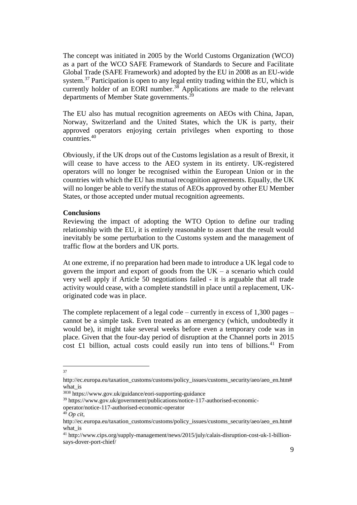The concept was initiated in 2005 by the World Customs Organization (WCO) as a part of the WCO SAFE Framework of Standards to Secure and Facilitate Global Trade (SAFE Framework) and adopted by the EU in 2008 as an EU-wide system.<sup>37</sup> Participation is open to any legal entity trading within the EU, which is currently holder of an EORI number.<sup>38</sup> Applications are made to the relevant departments of Member State governments.<sup>39</sup>

The EU also has mutual recognition agreements on AEOs with China, Japan, Norway, Switzerland and the United States, which the UK is party, their approved operators enjoying certain privileges when exporting to those countries.<sup>40</sup>

Obviously, if the UK drops out of the Customs legislation as a result of Brexit, it will cease to have access to the AEO system in its entirety. UK-registered operators will no longer be recognised within the European Union or in the countries with which the EU has mutual recognition agreements. Equally, the UK will no longer be able to verify the status of AEOs approved by other EU Member States, or those accepted under mutual recognition agreements.

#### **Conclusions**

Reviewing the impact of adopting the WTO Option to define our trading relationship with the EU, it is entirely reasonable to assert that the result would inevitably be some perturbation to the Customs system and the management of traffic flow at the borders and UK ports.

At one extreme, if no preparation had been made to introduce a UK legal code to govern the import and export of goods from the  $UK - a$  scenario which could very well apply if Article 50 negotiations failed - it is arguable that all trade activity would cease, with a complete standstill in place until a replacement, UKoriginated code was in place.

The complete replacement of a legal code – currently in excess of 1,300 pages – cannot be a simple task. Even treated as an emergency (which, undoubtedly it would be), it might take several weeks before even a temporary code was in place. Given that the four-day period of disruption at the Channel ports in 2015 cost  $£1$  billion, actual costs could easily run into tens of billions. $41$  From

 37

http://ec.europa.eu/taxation\_customs/customs/policy\_issues/customs\_security/aeo/aeo\_en.htm# what\_is

<sup>3838</sup> https://www.gov.uk/guidance/eori-supporting-guidance

<sup>39</sup> https://www.gov.uk/government/publications/notice-117-authorised-economicoperator/notice-117-authorised-economic-operator

<sup>40</sup> *Op cit*,

http://ec.europa.eu/taxation\_customs/customs/policy\_issues/customs\_security/aeo/aeo\_en.htm# what\_is

<sup>41</sup> http://www.cips.org/supply-management/news/2015/july/calais-disruption-cost-uk-1-billionsays-dover-port-chief/